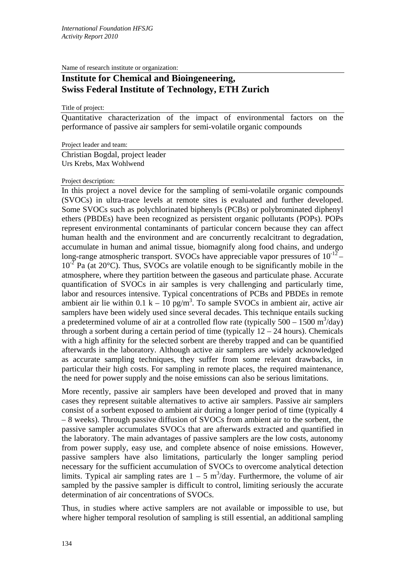Name of research institute or organization:

## **Institute for Chemical and Bioingeneering, Swiss Federal Institute of Technology, ETH Zurich**

## Title of project:

Quantitative characterization of the impact of environmental factors on the performance of passive air samplers for semi-volatile organic compounds

Project leader and team:

Christian Bogdal, project leader Urs Krebs, Max Wohlwend

## Project description:

In this project a novel device for the sampling of semi-volatile organic compounds (SVOCs) in ultra-trace levels at remote sites is evaluated and further developed. Some SVOCs such as polychlorinated biphenyls (PCBs) or polybrominated diphenyl ethers (PBDEs) have been recognized as persistent organic pollutants (POPs). POPs represent environmental contaminants of particular concern because they can affect human health and the environment and are concurrently recalcitrant to degradation, accumulate in human and animal tissue, biomagnify along food chains, and undergo long-range atmospheric transport. SVOCs have appreciable vapor pressures of  $10^{-12}$  –  $10^{-2}$  Pa (at 20 $^{\circ}$ C). Thus, SVOCs are volatile enough to be significantly mobile in the atmosphere, where they partition between the gaseous and particulate phase. Accurate quantification of SVOCs in air samples is very challenging and particularly time, labor and resources intensive. Typical concentrations of PCBs and PBDEs in remote ambient air lie within 0.1 k – 10 pg/m<sup>3</sup>. To sample SVOCs in ambient air, active air samplers have been widely used since several decades. This technique entails sucking a predetermined volume of air at a controlled flow rate (typically  $500 - 1500$  m<sup>3</sup>/day) through a sorbent during a certain period of time (typically  $12 - 24$  hours). Chemicals with a high affinity for the selected sorbent are thereby trapped and can be quantified afterwards in the laboratory. Although active air samplers are widely acknowledged as accurate sampling techniques, they suffer from some relevant drawbacks, in particular their high costs. For sampling in remote places, the required maintenance, the need for power supply and the noise emissions can also be serious limitations.

More recently, passive air samplers have been developed and proved that in many cases they represent suitable alternatives to active air samplers. Passive air samplers consist of a sorbent exposed to ambient air during a longer period of time (typically 4 – 8 weeks). Through passive diffusion of SVOCs from ambient air to the sorbent, the passive sampler accumulates SVOCs that are afterwards extracted and quantified in the laboratory. The main advantages of passive samplers are the low costs, autonomy from power supply, easy use, and complete absence of noise emissions. However, passive samplers have also limitations, particularly the longer sampling period necessary for the sufficient accumulation of SVOCs to overcome analytical detection limits. Typical air sampling rates are  $1 - 5$  m<sup>3</sup>/day. Furthermore, the volume of air sampled by the passive sampler is difficult to control, limiting seriously the accurate determination of air concentrations of SVOCs.

Thus, in studies where active samplers are not available or impossible to use, but where higher temporal resolution of sampling is still essential, an additional sampling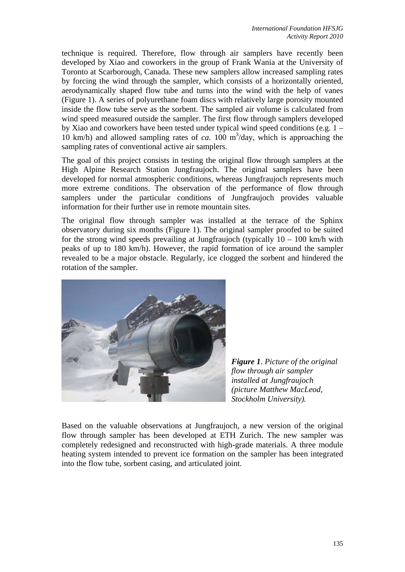technique is required. Therefore, flow through air samplers have recently been developed by Xiao and coworkers in the group of Frank Wania at the University of Toronto at Scarborough, Canada. These new samplers allow increased sampling rates by forcing the wind through the sampler, which consists of a horizontally oriented, aerodynamically shaped flow tube and turns into the wind with the help of vanes (Figure 1). A series of polyurethane foam discs with relatively large porosity mounted inside the flow tube serve as the sorbent. The sampled air volume is calculated from wind speed measured outside the sampler. The first flow through samplers developed by Xiao and coworkers have been tested under typical wind speed conditions (e.g. 1 – 10 km/h) and allowed sampling rates of *ca*. 100 m<sup>3</sup>/day, which is approaching the sampling rates of conventional active air samplers.

The goal of this project consists in testing the original flow through samplers at the High Alpine Research Station Jungfraujoch. The original samplers have been developed for normal atmospheric conditions, whereas Jungfraujoch represents much more extreme conditions. The observation of the performance of flow through samplers under the particular conditions of Jungfraujoch provides valuable information for their further use in remote mountain sites.

The original flow through sampler was installed at the terrace of the Sphinx observatory during six months (Figure 1). The original sampler proofed to be suited for the strong wind speeds prevailing at Jungfraujoch (typically  $10 - 100$  km/h with peaks of up to 180 km/h). However, the rapid formation of ice around the sampler revealed to be a major obstacle. Regularly, ice clogged the sorbent and hindered the rotation of the sampler.



*Figure 1. Picture of the original flow through air sampler installed at Jungfraujoch (picture Matthew MacLeod, Stockholm University).* 

Based on the valuable observations at Jungfraujoch, a new version of the original flow through sampler has been developed at ETH Zurich. The new sampler was completely redesigned and reconstructed with high-grade materials. A three module heating system intended to prevent ice formation on the sampler has been integrated into the flow tube, sorbent casing, and articulated joint.